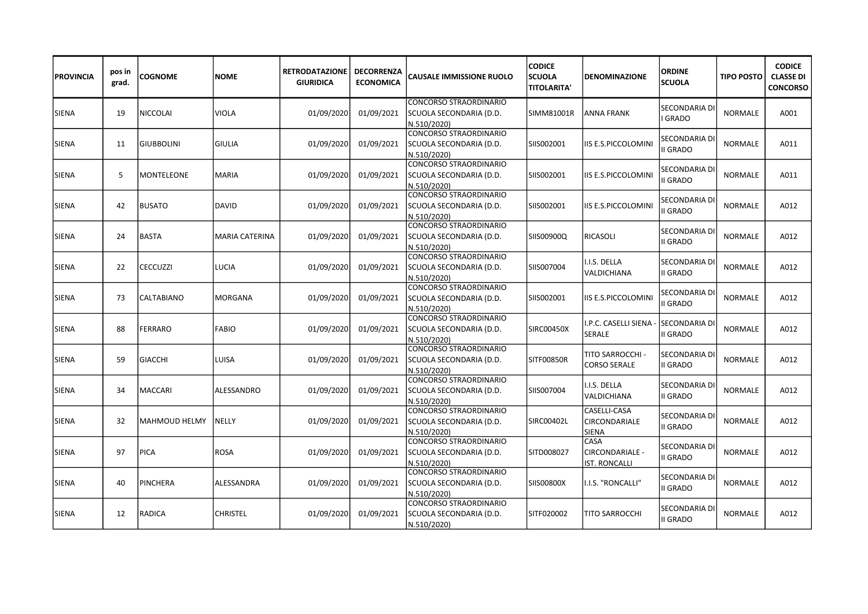| <b>PROVINCIA</b> | pos in<br>grad. | <b>COGNOME</b>    | <b>NOME</b>           | <b>RETRODATAZIONE</b><br><b>GIURIDICA</b> | <b>DECORRENZA</b><br><b>ECONOMICA</b> | <b>CAUSALE IMMISSIONE RUOLO</b>                                         | <b>CODICE</b><br><b>SCUOLA</b><br><b>TITOLARITA'</b> | <b>DENOMINAZIONE</b>                            | <b>ORDINE</b><br><b>SCUOLA</b>       | <b>TIPO POSTO</b> | <b>CODICE</b><br><b>CLASSE DI</b><br><b>CONCORSO</b> |
|------------------|-----------------|-------------------|-----------------------|-------------------------------------------|---------------------------------------|-------------------------------------------------------------------------|------------------------------------------------------|-------------------------------------------------|--------------------------------------|-------------------|------------------------------------------------------|
| SIENA            | 19              | <b>NICCOLAI</b>   | VIOLA                 | 01/09/2020                                | 01/09/2021                            | <b>CONCORSO STRAORDINARIO</b><br>SCUOLA SECONDARIA (D.D.<br>N.510/2020) | SIMM81001R                                           | ANNA FRANK                                      | <b>SECONDARIA DI</b><br><b>GRADO</b> | <b>NORMALE</b>    | A001                                                 |
| <b>SIENA</b>     | 11              | <b>GIUBBOLINI</b> | <b>GIULIA</b>         | 01/09/2020                                | 01/09/2021                            | CONCORSO STRAORDINARIO<br>SCUOLA SECONDARIA (D.D.<br>N.510/2020)        | SIIS002001                                           | IIS E.S.PICCOLOMINI                             | SECONDARIA D<br><b>II GRADO</b>      | NORMALE           | A011                                                 |
| <b>SIENA</b>     | 5               | MONTELEONE        | <b>MARIA</b>          | 01/09/2020                                | 01/09/2021                            | CONCORSO STRAORDINARIO<br>SCUOLA SECONDARIA (D.D.<br>N.510/2020)        | SIIS002001                                           | IIS E.S.PICCOLOMINI                             | SECONDARIA DI<br>II GRADO            | <b>NORMALE</b>    | A011                                                 |
| <b>SIENA</b>     | 42              | <b>BUSATO</b>     | <b>DAVID</b>          | 01/09/2020                                | 01/09/2021                            | CONCORSO STRAORDINARIO<br>SCUOLA SECONDARIA (D.D.<br>N.510/2020)        | SIIS002001                                           | IIS E.S.PICCOLOMINI                             | SECONDARIA D<br><b>II GRADO</b>      | <b>NORMALE</b>    | A012                                                 |
| SIENA            | 24              | <b>BASTA</b>      | <b>MARIA CATERINA</b> | 01/09/2020                                | 01/09/2021                            | CONCORSO STRAORDINARIO<br>SCUOLA SECONDARIA (D.D.<br>N.510/2020)        | SIIS00900Q                                           | RICASOLI                                        | SECONDARIA D<br><b>II GRADO</b>      | <b>NORMALE</b>    | A012                                                 |
| SIENA            | 22              | <b>CECCUZZI</b>   | LUCIA                 | 01/09/2020                                | 01/09/2021                            | CONCORSO STRAORDINARIO<br>SCUOLA SECONDARIA (D.D.<br>N.510/2020)        | SIIS007004                                           | I.I.S. DELLA<br>VALDICHIANA                     | <b>SECONDARIA DI</b><br>II GRADO     | <b>NORMALE</b>    | A012                                                 |
| <b>SIENA</b>     | 73              | CALTABIANO        | MORGANA               | 01/09/2020                                | 01/09/2021                            | CONCORSO STRAORDINARIO<br>SCUOLA SECONDARIA (D.D.<br>N.510/2020)        | SIIS002001                                           | IIS E.S.PICCOLOMINI                             | SECONDARIA DI<br>II GRADO            | <b>NORMALE</b>    | A012                                                 |
| SIENA            | 88              | FERRARO           | <b>FABIO</b>          | 01/09/2020                                | 01/09/2021                            | CONCORSO STRAORDINARIO<br>SCUOLA SECONDARIA (D.D.<br>N.510/2020)        | SIRC00450X                                           | .P.C. CASELLI SIENA<br>SERALE                   | <b>SECONDARIA DI</b><br>II GRADO     | <b>NORMALE</b>    | A012                                                 |
| <b>SIENA</b>     | 59              | <b>GIACCHI</b>    | LUISA                 | 01/09/2020                                | 01/09/2021                            | CONCORSO STRAORDINARIO<br>SCUOLA SECONDARIA (D.D.<br>N.510/2020)        | SITF00850R                                           | TITO SARROCCHI -<br><b>CORSO SERALE</b>         | SECONDARIA D<br>II GRADO             | NORMALE           | A012                                                 |
| <b>SIENA</b>     | 34              | <b>MACCARI</b>    | ALESSANDRO            | 01/09/2020                                | 01/09/2021                            | CONCORSO STRAORDINARIO<br>SCUOLA SECONDARIA (D.D.<br>N.510/2020)        | SIIS007004                                           | I.I.S. DELLA<br>VALDICHIANA                     | SECONDARIA DI<br>II GRADO            | <b>NORMALE</b>    | A012                                                 |
| <b>SIENA</b>     | 32              | MAHMOUD HELMY     | NELLY                 | 01/09/2020                                | 01/09/2021                            | CONCORSO STRAORDINARIO<br>SCUOLA SECONDARIA (D.D.<br>N.510/2020)        | SIRC00402L                                           | CASELLI-CASA<br>CIRCONDARIALE<br><b>SIENA</b>   | SECONDARIA D<br>II GRADO             | <b>NORMALE</b>    | A012                                                 |
| SIENA            | 97              | <b>PICA</b>       | <b>ROSA</b>           | 01/09/2020                                | 01/09/2021                            | CONCORSO STRAORDINARIO<br>SCUOLA SECONDARIA (D.D.<br>N.510/2020)        | SITD008027                                           | CASA<br>CIRCONDARIALE -<br><b>IST. RONCALLI</b> | SECONDARIA D<br>II GRADO             | <b>NORMALE</b>    | A012                                                 |
| SIENA            | 40              | PINCHERA          | ALESSANDRA            | 01/09/2020                                | 01/09/2021                            | CONCORSO STRAORDINARIO<br>SCUOLA SECONDARIA (D.D.<br>N.510/2020)        | SIIS00800X                                           | I.I.S. "RONCALLI"                               | SECONDARIA DI<br>II GRADO            | <b>NORMALE</b>    | A012                                                 |
| <b>SIENA</b>     | 12              | <b>RADICA</b>     | <b>CHRISTEL</b>       | 01/09/2020                                | 01/09/2021                            | CONCORSO STRAORDINARIO<br>SCUOLA SECONDARIA (D.D.<br>N.510/2020)        | SITF020002                                           | TITO SARROCCHI                                  | SECONDARIA DI<br>II GRADO            | NORMALE           | A012                                                 |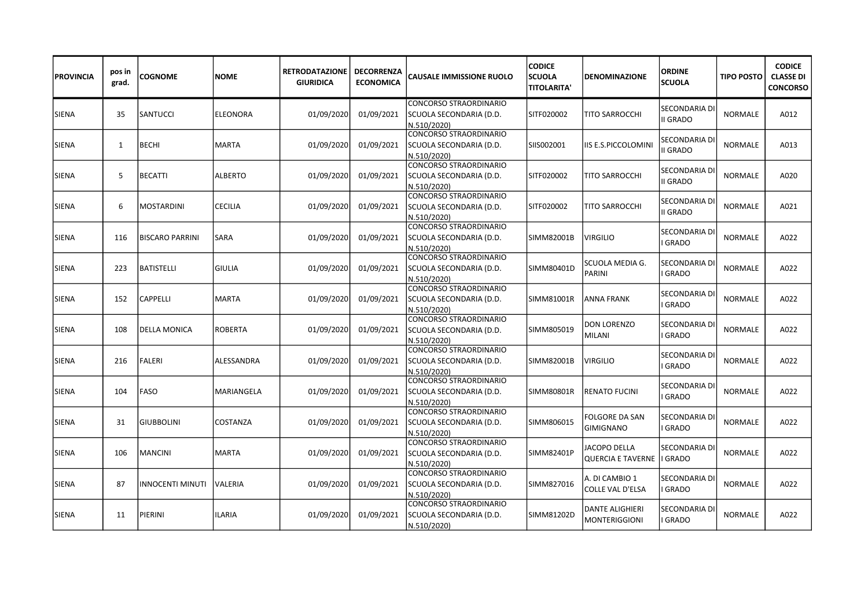| <b>PROVINCIA</b> | pos in<br>grad. | <b>COGNOME</b>          | <b>NOME</b>     | <b>RETRODATAZIONE</b><br><b>GIURIDICA</b> | <b>DECORRENZA</b><br><b>ECONOMICA</b> | <b>CAUSALE IMMISSIONE RUOLO</b>                                         | <b>CODICE</b><br><b>SCUOLA</b><br><b>TITOLARITA'</b> | <b>DENOMINAZIONE</b>                            | <b>ORDINE</b><br><b>SCUOLA</b>       | <b>TIPO POSTO</b> | <b>CODICE</b><br><b>CLASSE DI</b><br><b>CONCORSO</b> |
|------------------|-----------------|-------------------------|-----------------|-------------------------------------------|---------------------------------------|-------------------------------------------------------------------------|------------------------------------------------------|-------------------------------------------------|--------------------------------------|-------------------|------------------------------------------------------|
| <b>SIENA</b>     | 35              | <b>SANTUCCI</b>         | <b>ELEONORA</b> | 01/09/2020                                | 01/09/2021                            | <b>CONCORSO STRAORDINARIO</b><br>SCUOLA SECONDARIA (D.D.<br>N.510/2020) | SITF020002                                           | TITO SARROCCHI                                  | SECONDARIA DI<br>II GRADO            | <b>NORMALE</b>    | A012                                                 |
| <b>SIENA</b>     | 1               | <b>BECHI</b>            | MARTA           | 01/09/2020                                | 01/09/2021                            | CONCORSO STRAORDINARIO<br>SCUOLA SECONDARIA (D.D.<br>N.510/2020)        | SIIS002001                                           | IS E.S.PICCOLOMINI                              | SECONDARIA DI<br>II GRADO            | <b>NORMALE</b>    | A013                                                 |
| <b>SIENA</b>     | 5               | <b>BECATTI</b>          | <b>ALBERTO</b>  | 01/09/2020                                | 01/09/2021                            | CONCORSO STRAORDINARIO<br>SCUOLA SECONDARIA (D.D.<br>N.510/2020)        | SITF020002                                           | TITO SARROCCHI                                  | SECONDARIA DI<br><b>II GRADO</b>     | <b>NORMALE</b>    | A020                                                 |
| <b>SIENA</b>     | 6               | <b>MOSTARDINI</b>       | <b>CECILIA</b>  | 01/09/2020                                | 01/09/2021                            | CONCORSO STRAORDINARIO<br>SCUOLA SECONDARIA (D.D.<br>N.510/2020)        | SITF020002                                           | TITO SARROCCHI                                  | SECONDARIA DI<br><b>II GRADO</b>     | <b>NORMALE</b>    | A021                                                 |
| <b>SIENA</b>     | 116             | <b>BISCARO PARRINI</b>  | SARA            | 01/09/2020                                | 01/09/2021                            | CONCORSO STRAORDINARIO<br>SCUOLA SECONDARIA (D.D.<br>N.510/2020)        | SIMM82001B                                           | VIRGILIO                                        | <b>SECONDARIA D</b><br><b>GRADO</b>  | NORMALE           | A022                                                 |
| SIENA            | 223             | <b>BATISTELLI</b>       | <b>GIULIA</b>   | 01/09/2020                                | 01/09/2021                            | CONCORSO STRAORDINARIO<br>SCUOLA SECONDARIA (D.D.<br>N.510/2020)        | SIMM80401D                                           | SCUOLA MEDIA G.<br><b>PARINI</b>                | SECONDARIA DI<br><b>GRADO</b>        | <b>NORMALE</b>    | A022                                                 |
| <b>SIENA</b>     | 152             | <b>CAPPELLI</b>         | <b>MARTA</b>    | 01/09/2020                                | 01/09/2021                            | <b>CONCORSO STRAORDINARIO</b><br>SCUOLA SECONDARIA (D.D.<br>N.510/2020) | SIMM81001R                                           | ANNA FRANK                                      | SECONDARIA DI<br>GRADO               | <b>NORMALE</b>    | A022                                                 |
| <b>SIENA</b>     | 108             | DELLA MONICA            | <b>ROBERTA</b>  | 01/09/2020                                | 01/09/2021                            | CONCORSO STRAORDINARIO<br>SCUOLA SECONDARIA (D.D.<br>N.510/2020)        | SIMM805019                                           | <b>DON LORENZO</b><br>MILANI                    | <b>SECONDARIA DI</b><br><b>GRADO</b> | <b>NORMALE</b>    | A022                                                 |
| <b>SIENA</b>     | 216             | <b>FALERI</b>           | ALESSANDRA      | 01/09/2020                                | 01/09/2021                            | CONCORSO STRAORDINARIO<br>SCUOLA SECONDARIA (D.D.<br>N.510/2020)        | SIMM82001B                                           | VIRGILIO                                        | SECONDARIA D<br>GRADO                | NORMALE           | A022                                                 |
| <b>SIENA</b>     | 104             | <b>FASO</b>             | MARIANGELA      | 01/09/2020                                | 01/09/2021                            | CONCORSO STRAORDINARIO<br>SCUOLA SECONDARIA (D.D.<br>N.510/2020)        | SIMM80801R                                           | <b>RENATO FUCINI</b>                            | SECONDARIA DI<br><b>GRADO</b>        | <b>NORMALE</b>    | A022                                                 |
| <b>SIENA</b>     | 31              | <b>GIUBBOLINI</b>       | COSTANZA        | 01/09/2020                                | 01/09/2021                            | CONCORSO STRAORDINARIO<br>SCUOLA SECONDARIA (D.D.<br>N.510/2020)        | SIMM806015                                           | FOLGORE DA SAN<br><b>GIMIGNANO</b>              | SECONDARIA D<br>GRADO                | <b>NORMALE</b>    | A022                                                 |
| <b>SIENA</b>     | 106             | <b>MANCINI</b>          | <b>MARTA</b>    | 01/09/2020                                | 01/09/2021                            | CONCORSO STRAORDINARIO<br>SCUOLA SECONDARIA (D.D.<br>N.510/2020)        | SIMM82401P                                           | <b>JACOPO DELLA</b><br><b>QUERCIA E TAVERNE</b> | SECONDARIA D<br><b>GRADO</b>         | <b>NORMALE</b>    | A022                                                 |
| <b>SIENA</b>     | 87              | <b>INNOCENTI MINUTI</b> | VALERIA         | 01/09/2020                                | 01/09/2021                            | CONCORSO STRAORDINARIO<br>SCUOLA SECONDARIA (D.D.<br>N.510/2020)        | SIMM827016                                           | A. DI CAMBIO 1<br>COLLE VAL D'ELSA              | SECONDARIA DI<br><b>GRADO</b>        | <b>NORMALE</b>    | A022                                                 |
| <b>SIENA</b>     | 11              | PIERINI                 | ILARIA          | 01/09/2020                                | 01/09/2021                            | CONCORSO STRAORDINARIO<br>SCUOLA SECONDARIA (D.D.<br>N.510/2020)        | SIMM81202D                                           | DANTE ALIGHIERI<br>MONTERIGGIONI                | SECONDARIA DI<br><b>GRADO</b>        | <b>NORMALE</b>    | A022                                                 |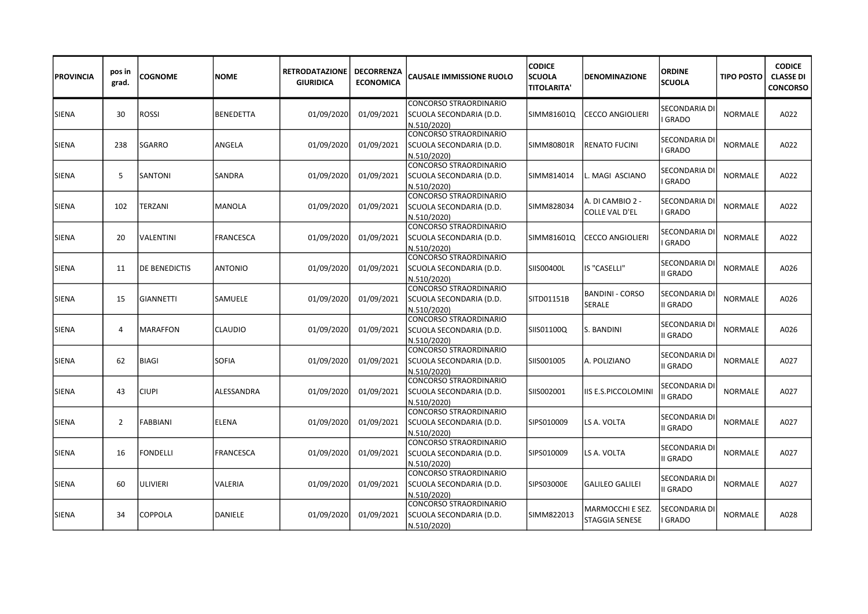| <b>PROVINCIA</b> | pos in<br>grad. | <b>COGNOME</b>       | <b>NOME</b>      | <b>RETRODATAZIONE</b><br><b>GIURIDICA</b> | <b>DECORRENZA</b><br><b>ECONOMICA</b> | <b>CAUSALE IMMISSIONE RUOLO</b>                                         | <b>CODICE</b><br><b>SCUOLA</b><br><b>TITOLARITA'</b> | <b>DENOMINAZIONE</b>               | <b>ORDINE</b><br><b>SCUOLA</b>   | <b>TIPO POSTO</b> | <b>CODICE</b><br><b>CLASSE DI</b><br><b>CONCORSO</b> |
|------------------|-----------------|----------------------|------------------|-------------------------------------------|---------------------------------------|-------------------------------------------------------------------------|------------------------------------------------------|------------------------------------|----------------------------------|-------------------|------------------------------------------------------|
| <b>SIENA</b>     | 30              | <b>ROSSI</b>         | <b>BENEDETTA</b> | 01/09/2020                                | 01/09/2021                            | <b>CONCORSO STRAORDINARIO</b><br>SCUOLA SECONDARIA (D.D.<br>N.510/2020) | SIMM81601Q                                           | <b>CECCO ANGIOLIERI</b>            | SECONDARIA DI<br><b>GRADO</b>    | <b>NORMALE</b>    | A022                                                 |
| ISIENA           | 238             | SGARRO               | ANGELA           | 01/09/2020                                | 01/09/2021                            | CONCORSO STRAORDINARIO<br>SCUOLA SECONDARIA (D.D.<br>N.510/2020)        | SIMM80801R                                           | <b>RENATO FUCINI</b>               | SECONDARIA DI<br><b>GRADO</b>    | <b>NORMALE</b>    | A022                                                 |
| <b>SIENA</b>     | 5               | <b>SANTONI</b>       | <b>SANDRA</b>    | 01/09/2020                                | 01/09/2021                            | CONCORSO STRAORDINARIO<br>SCUOLA SECONDARIA (D.D.<br>N.510/2020)        | SIMM814014                                           | MAGI ASCIANO                       | SECONDARIA DI<br><b>GRADO</b>    | <b>NORMALE</b>    | A022                                                 |
| <b>SIENA</b>     | 102             | <b>TERZANI</b>       | <b>MANOLA</b>    | 01/09/2020                                | 01/09/2021                            | CONCORSO STRAORDINARIO<br>SCUOLA SECONDARIA (D.D.<br>N.510/2020)        | SIMM828034                                           | A. DI CAMBIO 2 -<br>COLLE VAL D'EL | SECONDARIA D<br><b>GRADO</b>     | <b>NORMALE</b>    | A022                                                 |
| <b>SIENA</b>     | 20              | VALENTINI            | <b>FRANCESCA</b> | 01/09/2020                                | 01/09/2021                            | CONCORSO STRAORDINARIO<br>SCUOLA SECONDARIA (D.D.<br>N.510/2020)        | SIMM81601Q                                           | <b>CECCO ANGIOLIERI</b>            | SECONDARIA DI<br><b>GRADO</b>    | NORMALE           | A022                                                 |
| <b>SIENA</b>     | 11              | <b>DE BENEDICTIS</b> | <b>ANTONIO</b>   | 01/09/2020                                | 01/09/2021                            | CONCORSO STRAORDINARIO<br>SCUOLA SECONDARIA (D.D.<br>N.510/2020)        | SIIS00400L                                           | IS "CASELLI"                       | SECONDARIA DI<br><b>II GRADO</b> | <b>NORMALE</b>    | A026                                                 |
| <b>SIENA</b>     | 15              | <b>GIANNETTI</b>     | SAMUELE          | 01/09/2020                                | 01/09/2021                            | <b>CONCORSO STRAORDINARIO</b><br>SCUOLA SECONDARIA (D.D.<br>N.510/2020) | SITD01151B                                           | <b>BANDINI - CORSO</b><br>SERALE   | SECONDARIA DI<br>II GRADO        | <b>NORMALE</b>    | A026                                                 |
| <b>SIENA</b>     | 4               | <b>MARAFFON</b>      | <b>CLAUDIO</b>   | 01/09/2020                                | 01/09/2021                            | CONCORSO STRAORDINARIO<br>SCUOLA SECONDARIA (D.D.<br>N.510/2020)        | SIIS01100Q                                           | S. BANDINI                         | <b>SECONDARIA DI</b><br>II GRADO | <b>NORMALE</b>    | A026                                                 |
| <b>SIENA</b>     | 62              | <b>BIAGI</b>         | <b>SOFIA</b>     | 01/09/2020                                | 01/09/2021                            | CONCORSO STRAORDINARIO<br>SCUOLA SECONDARIA (D.D.<br>N.510/2020)        | SIIS001005                                           | A. POLIZIANO                       | SECONDARIA DI<br>II GRADO        | NORMALE           | A027                                                 |
| <b>SIENA</b>     | 43              | <b>CIUPI</b>         | ALESSANDRA       | 01/09/2020                                | 01/09/2021                            | CONCORSO STRAORDINARIO<br>SCUOLA SECONDARIA (D.D.<br>N.510/2020)        | SIIS002001                                           | IIS E.S.PICCOLOMINI                | SECONDARIA DI<br>II GRADO        | <b>NORMALE</b>    | A027                                                 |
| <b>SIENA</b>     | 2               | <b>FABBIANI</b>      | <b>ELENA</b>     | 01/09/2020                                | 01/09/2021                            | CONCORSO STRAORDINARIO<br>SCUOLA SECONDARIA (D.D.<br>N.510/2020)        | SIPS010009                                           | LS A. VOLTA                        | SECONDARIA D<br>II GRADO         | <b>NORMALE</b>    | A027                                                 |
| <b>SIENA</b>     | 16              | <b>FONDELLI</b>      | <b>FRANCESCA</b> | 01/09/2020                                | 01/09/2021                            | CONCORSO STRAORDINARIO<br>SCUOLA SECONDARIA (D.D.<br>N.510/2020)        | SIPS010009                                           | LS A. VOLTA                        | SECONDARIA D<br>II GRADO         | <b>NORMALE</b>    | A027                                                 |
| SIENA            | 60              | <b>ULIVIERI</b>      | VALERIA          | 01/09/2020                                | 01/09/2021                            | CONCORSO STRAORDINARIO<br>SCUOLA SECONDARIA (D.D.<br>N.510/2020)        | SIPS03000E                                           | <b>GALILEO GALILEI</b>             | SECONDARIA DI<br>II GRADO        | <b>NORMALE</b>    | A027                                                 |
| <b>SIENA</b>     | 34              | <b>COPPOLA</b>       | DANIELE          | 01/09/2020                                | 01/09/2021                            | CONCORSO STRAORDINARIO<br>SCUOLA SECONDARIA (D.D.<br>N.510/2020)        | SIMM822013                                           | MARMOCCHI E SEZ.<br>STAGGIA SENESE | SECONDARIA DI<br><b>GRADO</b>    | <b>NORMALE</b>    | A028                                                 |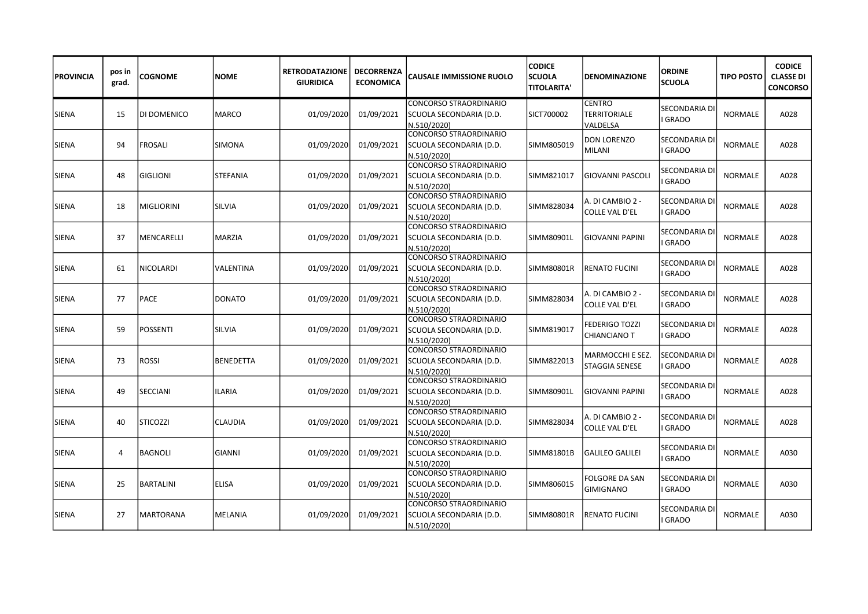| <b>PROVINCIA</b> | pos in<br>grad. | COGNOME           | NOME             | <b>RETRODATAZIONE</b><br><b>GIURIDICA</b> | <b>DECORRENZA</b><br><b>ECONOMICA</b> | <b>CAUSALE IMMISSIONE RUOLO</b>                                         | <b>CODICE</b><br><b>SCUOLA</b><br><b>TITOLARITA'</b> | <b>DENOMINAZIONE</b>                             | <b>ORDINE</b><br><b>SCUOLA</b>      | <b>TIPO POSTO</b> | <b>CODICE</b><br><b>CLASSE DI</b><br><b>CONCORSO</b> |
|------------------|-----------------|-------------------|------------------|-------------------------------------------|---------------------------------------|-------------------------------------------------------------------------|------------------------------------------------------|--------------------------------------------------|-------------------------------------|-------------------|------------------------------------------------------|
| <b>SIENA</b>     | 15              | DI DOMENICO       | <b>MARCO</b>     | 01/09/2020                                | 01/09/2021                            | <b>CONCORSO STRAORDINARIO</b><br>SCUOLA SECONDARIA (D.D.<br>N.510/2020) | SICT700002                                           | <b>CENTRO</b><br><b>TERRITORIALE</b><br>VALDELSA | <b>SECONDARIA D</b><br><b>GRADO</b> | <b>NORMALE</b>    | A028                                                 |
| SIENA            | 94              | FROSALI           | SIMONA           | 01/09/2020                                | 01/09/2021                            | CONCORSO STRAORDINARIO<br>SCUOLA SECONDARIA (D.D.<br>N.510/2020)        | SIMM805019                                           | <b>DON LORENZO</b><br>MILANI                     | SECONDARIA D<br><b>GRADO</b>        | <b>NORMALE</b>    | A028                                                 |
| SIENA            | 48              | <b>GIGLIONI</b>   | STEFANIA         | 01/09/2020                                | 01/09/2021                            | CONCORSO STRAORDINARIO<br>SCUOLA SECONDARIA (D.D.<br>N.510/2020)        | SIMM821017                                           | <b>GIOVANNI PASCOLI</b>                          | SECONDARIA D<br>GRADO               | <b>NORMALE</b>    | A028                                                 |
| <b>SIENA</b>     | 18              | <b>MIGLIORINI</b> | SILVIA           | 01/09/2020                                | 01/09/2021                            | CONCORSO STRAORDINARIO<br> SCUOLA SECONDARIA (D.D.<br>N.510/2020)       | ISIMM828034                                          | A. DI CAMBIO 2 -<br>COLLE VAL D'EL               | SECONDARIA D<br><b>GRADO</b>        | <b>NORMALE</b>    | A028                                                 |
| <b>SIENA</b>     | 37              | MENCARELLI        | <b>MARZIA</b>    | 01/09/2020                                | 01/09/2021                            | CONCORSO STRAORDINARIO<br> SCUOLA SECONDARIA (D.D.<br>N.510/2020)       | SIMM80901L                                           | <b>GIOVANNI PAPINI</b>                           | SECONDARIA D<br><b>GRADO</b>        | <b>NORMALE</b>    | A028                                                 |
| <b>SIENA</b>     | 61              | NICOLARDI         | VALENTINA        | 01/09/2020                                | 01/09/2021                            | CONCORSO STRAORDINARIO<br>SCUOLA SECONDARIA (D.D.<br>N.510/2020)        | SIMM80801R                                           | <b>RENATO FUCINI</b>                             | SECONDARIA DI<br>I GRADO            | <b>NORMALE</b>    | A028                                                 |
| <b>SIENA</b>     | 77              | PACE              | <b>DONATO</b>    | 01/09/2020                                | 01/09/2021                            | CONCORSO STRAORDINARIO<br>SCUOLA SECONDARIA (D.D.<br>N.510/2020)        | SIMM828034                                           | A. DI CAMBIO 2 -<br><b>COLLE VAL D'EL</b>        | SECONDARIA D<br>GRADO               | <b>NORMALE</b>    | A028                                                 |
| <b>SIENA</b>     | 59              | POSSENTI          | SILVIA           | 01/09/2020                                | 01/09/2021                            | CONCORSO STRAORDINARIO<br>SCUOLA SECONDARIA (D.D.<br>N.510/2020)        | SIMM819017                                           | FEDERIGO TOZZI<br>CHIANCIANO T                   | SECONDARIA DI<br><b>GRADO</b>       | <b>NORMALE</b>    | A028                                                 |
| <b>SIENA</b>     | 73              | ROSSI             | <b>BENEDETTA</b> | 01/09/2020                                | 01/09/2021                            | CONCORSO STRAORDINARIO<br>SCUOLA SECONDARIA (D.D.<br>N.510/2020)        | SIMM822013                                           | MARMOCCHI E SEZ.<br>STAGGIA SENESE               | SECONDARIA D<br><b>GRADO</b>        | <b>NORMALE</b>    | A028                                                 |
| SIENA            | 49              | SECCIANI          | ILARIA           | 01/09/2020                                | 01/09/2021                            | CONCORSO STRAORDINARIO<br> SCUOLA SECONDARIA (D.D.<br>N.510/2020)       | SIMM80901L                                           | GIOVANNI PAPINI                                  | SECONDARIA D<br><b>GRADO</b>        | <b>NORMALE</b>    | A028                                                 |
| <b>SIENA</b>     | 40              | <b>STICOZZI</b>   | <b>CLAUDIA</b>   | 01/09/2020                                | 01/09/2021                            | CONCORSO STRAORDINARIO<br>SCUOLA SECONDARIA (D.D.<br>N.510/2020)        | ISIMM828034                                          | A. DI CAMBIO 2 -<br>COLLE VAL D'EL               | SECONDARIA D<br><b>GRADO</b>        | <b>NORMALE</b>    | A028                                                 |
| SIENA            | 4               | <b>BAGNOLI</b>    | <b>GIANNI</b>    | 01/09/2020                                | 01/09/2021                            | CONCORSO STRAORDINARIO<br>SCUOLA SECONDARIA (D.D.<br>N.510/2020)        | SIMM81801B                                           | <b>GALILEO GALILEI</b>                           | SECONDARIA D<br>I GRADO             | <b>NORMALE</b>    | A030                                                 |
| <b>SIENA</b>     | 25              | <b>BARTALINI</b>  | <b>ELISA</b>     | 01/09/2020                                | 01/09/2021                            | CONCORSO STRAORDINARIO<br>SCUOLA SECONDARIA (D.D.<br>N.510/2020)        | SIMM806015                                           | FOLGORE DA SAN<br><b>GIMIGNANO</b>               | SECONDARIA D<br><b>GRADO</b>        | <b>NORMALE</b>    | A030                                                 |
| <b>SIENA</b>     | 27              | MARTORANA         | MELANIA          | 01/09/2020                                | 01/09/2021                            | CONCORSO STRAORDINARIO<br>SCUOLA SECONDARIA (D.D.<br>N.510/2020)        | SIMM80801R                                           | <b>RENATO FUCINI</b>                             | SECONDARIA D<br><b>GRADO</b>        | <b>NORMALE</b>    | A030                                                 |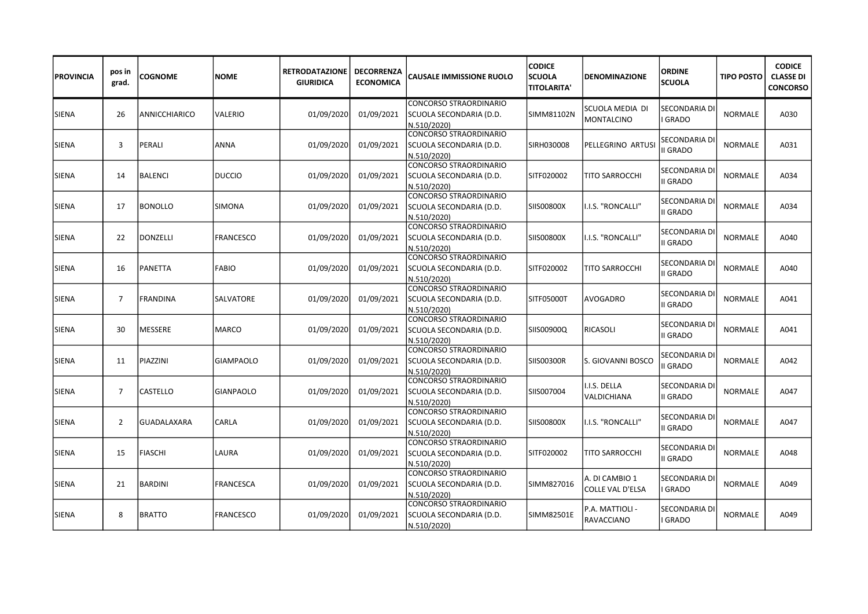| <b>PROVINCIA</b> | pos in<br>grad. | <b>COGNOME</b>  | <b>NOME</b>      | <b>RETRODATAZIONE</b><br><b>GIURIDICA</b> | <b>DECORRENZA</b><br><b>ECONOMICA</b> | <b>CAUSALE IMMISSIONE RUOLO</b>                                         | <b>CODICE</b><br><b>SCUOLA</b><br><b>TITOLARITA'</b> | <b>DENOMINAZIONE</b>               | <b>ORDINE</b><br><b>SCUOLA</b>   | <b>TIPO POSTO</b> | <b>CODICE</b><br><b>CLASSE DI</b><br><b>CONCORSO</b> |
|------------------|-----------------|-----------------|------------------|-------------------------------------------|---------------------------------------|-------------------------------------------------------------------------|------------------------------------------------------|------------------------------------|----------------------------------|-------------------|------------------------------------------------------|
| <b>SIENA</b>     | 26              | ANNICCHIARICO   | VALERIO          | 01/09/2020                                | 01/09/2021                            | <b>CONCORSO STRAORDINARIO</b><br>SCUOLA SECONDARIA (D.D.<br>N.510/2020) | SIMM81102N                                           | SCUOLA MEDIA DI<br>MONTALCINO      | SECONDARIA DI<br><b>GRADO</b>    | <b>NORMALE</b>    | A030                                                 |
| <b>SIENA</b>     | 3               | PERALI          | ANNA             | 01/09/2020                                | 01/09/2021                            | CONCORSO STRAORDINARIO<br>SCUOLA SECONDARIA (D.D.<br>N.510/2020)        | SIRH030008                                           | PELLEGRINO ARTUS                   | SECONDARIA DI<br>II GRADO        | <b>NORMALE</b>    | A031                                                 |
| <b>SIENA</b>     | 14              | <b>BALENCI</b>  | <b>DUCCIO</b>    | 01/09/2020                                | 01/09/2021                            | CONCORSO STRAORDINARIO<br>SCUOLA SECONDARIA (D.D.<br>N.510/2020)        | SITF020002                                           | TITO SARROCCHI                     | SECONDARIA DI<br>II GRADO        | <b>NORMALE</b>    | A034                                                 |
| <b>SIENA</b>     | 17              | <b>BONOLLO</b>  | <b>SIMONA</b>    | 01/09/2020                                | 01/09/2021                            | CONCORSO STRAORDINARIO<br>SCUOLA SECONDARIA (D.D.<br>N.510/2020)        | <b>SIIS00800X</b>                                    | I.I.S. "RONCALLI"                  | SECONDARIA DI<br><b>II GRADO</b> | <b>NORMALE</b>    | A034                                                 |
| <b>SIENA</b>     | 22              | <b>DONZELLI</b> | <b>FRANCESCO</b> | 01/09/2020                                | 01/09/2021                            | CONCORSO STRAORDINARIO<br>SCUOLA SECONDARIA (D.D.<br>N.510/2020)        | SIIS00800X                                           | I.I.S. "RONCALLI"                  | SECONDARIA DI<br><b>II GRADO</b> | NORMALE           | A040                                                 |
| <b>SIENA</b>     | 16              | PANETTA         | <b>FABIO</b>     | 01/09/2020                                | 01/09/2021                            | CONCORSO STRAORDINARIO<br>SCUOLA SECONDARIA (D.D.<br>N.510/2020)        | SITF020002                                           | TITO SARROCCHI                     | SECONDARIA DI<br>II GRADO        | <b>NORMALE</b>    | A040                                                 |
| <b>SIENA</b>     | $\overline{7}$  | <b>FRANDINA</b> | SALVATORE        | 01/09/2020                                | 01/09/2021                            | <b>CONCORSO STRAORDINARIO</b><br>SCUOLA SECONDARIA (D.D.<br>N.510/2020) | SITF05000T                                           | <b>AVOGADRO</b>                    | SECONDARIA DI<br>II GRADO        | <b>NORMALE</b>    | A041                                                 |
| <b>SIENA</b>     | 30              | MESSERE         | <b>MARCO</b>     | 01/09/2020                                | 01/09/2021                            | CONCORSO STRAORDINARIO<br>SCUOLA SECONDARIA (D.D.<br>N.510/2020)        | SIIS00900Q                                           | RICASOLI                           | SECONDARIA DI<br>II GRADO        | <b>NORMALE</b>    | A041                                                 |
| <b>SIENA</b>     | 11              | PIAZZINI        | <b>GIAMPAOLO</b> | 01/09/2020                                | 01/09/2021                            | CONCORSO STRAORDINARIO<br>SCUOLA SECONDARIA (D.D.<br>N.510/2020)        | SIIS00300R                                           | S. GIOVANNI BOSCO                  | SECONDARIA DI<br>II GRADO        | NORMALE           | A042                                                 |
| <b>SIENA</b>     | $\overline{7}$  | CASTELLO        | <b>GIANPAOLO</b> | 01/09/2020                                | 01/09/2021                            | CONCORSO STRAORDINARIO<br>SCUOLA SECONDARIA (D.D.<br>N.510/2020)        | SIIS007004                                           | I.I.S. DELLA<br>VALDICHIANA        | SECONDARIA DI<br>II GRADO        | <b>NORMALE</b>    | A047                                                 |
| <b>SIENA</b>     | 2               | GUADALAXARA     | CARLA            | 01/09/2020                                | 01/09/2021                            | CONCORSO STRAORDINARIO<br>SCUOLA SECONDARIA (D.D.<br>N.510/2020)        | SIISOO8OOX                                           | I.I.S. "RONCALLI"                  | SECONDARIA D<br>II GRADO         | <b>NORMALE</b>    | A047                                                 |
| <b>SIENA</b>     | 15              | <b>FIASCHI</b>  | LAURA            | 01/09/2020                                | 01/09/2021                            | CONCORSO STRAORDINARIO<br>SCUOLA SECONDARIA (D.D.<br>N.510/2020)        | SITF020002                                           | <b>TITO SARROCCHI</b>              | SECONDARIA D<br>II GRADO         | <b>NORMALE</b>    | A048                                                 |
| <b>SIENA</b>     | 21              | <b>BARDINI</b>  | FRANCESCA        | 01/09/2020                                | 01/09/2021                            | CONCORSO STRAORDINARIO<br>SCUOLA SECONDARIA (D.D.<br>N.510/2020)        | SIMM827016                                           | A. DI CAMBIO 1<br>COLLE VAL D'ELSA | SECONDARIA DI<br><b>GRADO</b>    | <b>NORMALE</b>    | A049                                                 |
| <b>SIENA</b>     | 8               | <b>BRATTO</b>   | <b>FRANCESCO</b> | 01/09/2020                                | 01/09/2021                            | CONCORSO STRAORDINARIO<br>SCUOLA SECONDARIA (D.D.<br>N.510/2020)        | SIMM82501E                                           | P.A. MATTIOLI -<br>RAVACCIANO      | SECONDARIA DI<br><b>GRADO</b>    | <b>NORMALE</b>    | A049                                                 |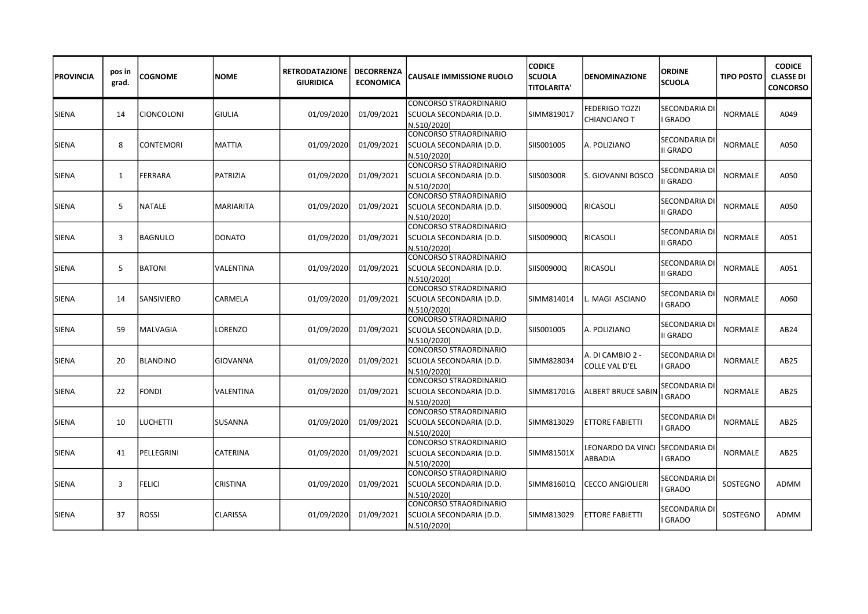| <b>IPROVINCIA</b> | pos in<br>grad. | <b>COGNOME</b>    | <b>NOME</b>      | <b>RETRODATAZIONE</b><br><b>GIURIDICA</b> | <b>DECORRENZA</b><br><b>ECONOMICA</b> | <b>CAUSALE IMMISSIONE RUOLO</b>                                         | <b>CODICE</b><br><b>SCUOLA</b><br><b>TITOLARITA'</b> | <b>DENOMINAZIONE</b>               | <b>ORDINE</b><br><b>SCUOLA</b>  | <b>TIPO POSTO</b> | <b>CODICE</b><br><b>CLASSE DI</b><br><b>CONCORSO</b> |
|-------------------|-----------------|-------------------|------------------|-------------------------------------------|---------------------------------------|-------------------------------------------------------------------------|------------------------------------------------------|------------------------------------|---------------------------------|-------------------|------------------------------------------------------|
| <b>SIENA</b>      | 14              | <b>CIONCOLONI</b> | <b>GIULIA</b>    | 01/09/2020                                | 01/09/2021                            | <b>CONCORSO STRAORDINARIO</b><br>SCUOLA SECONDARIA (D.D.<br>N.510/2020) | SIMM819017                                           | FEDERIGO TOZZI<br>CHIANCIANO T     | SECONDARIA DI<br><b>GRADO</b>   | <b>NORMALE</b>    | A049                                                 |
| <b>SIENA</b>      | 8               | <b>CONTEMORI</b>  | MATTIA           | 01/09/2020                                | 01/09/2021                            | CONCORSO STRAORDINARIO<br>SCUOLA SECONDARIA (D.D.<br>N.510/2020)        | SIIS001005                                           | A. POLIZIANO                       | SECONDARIA DI<br>II GRADO       | <b>NORMALE</b>    | A050                                                 |
| <b>SIENA</b>      | $\mathbf{1}$    | <b>FERRARA</b>    | <b>PATRIZIA</b>  | 01/09/2020                                | 01/09/2021                            | CONCORSO STRAORDINARIO<br>SCUOLA SECONDARIA (D.D.<br>N.510/2020)        | SIIS00300R                                           | S. GIOVANNI BOSCO                  | SECONDARIA DI<br>II GRADO       | <b>NORMALE</b>    | A050                                                 |
| <b>SIENA</b>      | 5               | <b>NATALE</b>     | <b>MARIARITA</b> | 01/09/2020                                | 01/09/2021                            | ICONCORSO STRAORDINARIO<br>SCUOLA SECONDARIA (D.D.<br>N.510/2020)       | SIIS00900Q                                           | RICASOLI                           | SECONDARIA D<br><b>II GRADO</b> | <b>NORMALE</b>    | A050                                                 |
| <b>SIENA</b>      | 3               | <b>BAGNULO</b>    | <b>DONATO</b>    | 01/09/2020                                | 01/09/2021                            | <b>CONCORSO STRAORDINARIO</b><br>SCUOLA SECONDARIA (D.D.<br>N.510/2020) | SIIS00900Q                                           | RICASOLI                           | SECONDARIA D<br>II GRADO        | <b>NORMALE</b>    | A051                                                 |
| <b>SIENA</b>      | 5               | <b>BATONI</b>     | VALENTINA        | 01/09/2020                                | 01/09/2021                            | CONCORSO STRAORDINARIO<br>SCUOLA SECONDARIA (D.D.<br>N.510/2020)        | SIIS00900Q                                           | RICASOLI                           | SECONDARIA D<br>II GRADO        | <b>NORMALE</b>    | A051                                                 |
| <b>SIENA</b>      | 14              | SANSIVIERO        | CARMELA          | 01/09/2020                                | 01/09/2021                            | CONCORSO STRAORDINARIO<br>SCUOLA SECONDARIA (D.D.<br>N.510/2020)        | SIMM814014                                           | MAGI ASCIANO                       | SECONDARIA DI<br><b>GRADO</b>   | <b>NORMALE</b>    | A060                                                 |
| <b>SIENA</b>      | 59              | MALVAGIA          | LORENZO          | 01/09/2020                                | 01/09/2021                            | CONCORSO STRAORDINARIO<br>SCUOLA SECONDARIA (D.D.<br>N.510/2020)        | SIIS001005                                           | A. POLIZIANO                       | SECONDARIA DI<br>II GRADO       | <b>NORMALE</b>    | AB24                                                 |
| <b>SIENA</b>      | 20              | <b>BLANDINO</b>   | <b>GIOVANNA</b>  | 01/09/2020                                | 01/09/2021                            | CONCORSO STRAORDINARIO<br>SCUOLA SECONDARIA (D.D.<br>N.510/2020)        | SIMM828034                                           | A. DI CAMBIO 2 -<br>COLLE VAL D'EL | SECONDARIA D<br><b>GRADO</b>    | <b>NORMALE</b>    | AB25                                                 |
| <b>SIENA</b>      | 22              | <b>FONDI</b>      | VALENTINA        | 01/09/2020                                | 01/09/2021                            | CONCORSO STRAORDINARIO<br> SCUOLA SECONDARIA (D.D.<br>N.510/2020)       | ISIMM81701G                                          | <b>ALBERT BRUCE SABII</b>          | SECONDARIA DI<br><b>GRADO</b>   | <b>NORMALE</b>    | AB25                                                 |
| <b>SIENA</b>      | 10              | <b>LUCHETTI</b>   | SUSANNA          | 01/09/2020                                | 01/09/2021                            | CONCORSO STRAORDINARIO<br>SCUOLA SECONDARIA (D.D.<br>N.510/2020)        | SIMM813029                                           | <b>ETTORE FABIETTI</b>             | SECONDARIA D<br><b>GRADO</b>    | <b>NORMALE</b>    | AB <sub>25</sub>                                     |
| <b>SIENA</b>      | 41              | PELLEGRINI        | CATERINA         | 01/09/2020                                | 01/09/2021                            | CONCORSO STRAORDINARIO<br>SCUOLA SECONDARIA (D.D.<br>N.510/2020)        | SIMM81501X                                           | LEONARDO DA VINCI<br>ABBADIA       | SECONDARIA DI<br>GRADO          | <b>NORMALE</b>    | AB25                                                 |
| <b>SIENA</b>      | 3               | <b>FELICI</b>     | CRISTINA         | 01/09/2020                                | 01/09/2021                            | <b>CONCORSO STRAORDINARIO</b><br>SCUOLA SECONDARIA (D.D.<br>N.510/2020) | SIMM81601Q                                           | <b>CECCO ANGIOLIERI</b>            | SECONDARIA D<br><b>GRADO</b>    | SOSTEGNO          | ADMM                                                 |
| <b>SIENA</b>      | 37              | <b>ROSSI</b>      | CLARISSA         | 01/09/2020                                | 01/09/2021                            | CONCORSO STRAORDINARIO<br>SCUOLA SECONDARIA (D.D.<br>N.510/2020)        | SIMM813029                                           | <b>ETTORE FABIETTI</b>             | SECONDARIA DI<br><b>GRADO</b>   | SOSTEGNO          | ADMM                                                 |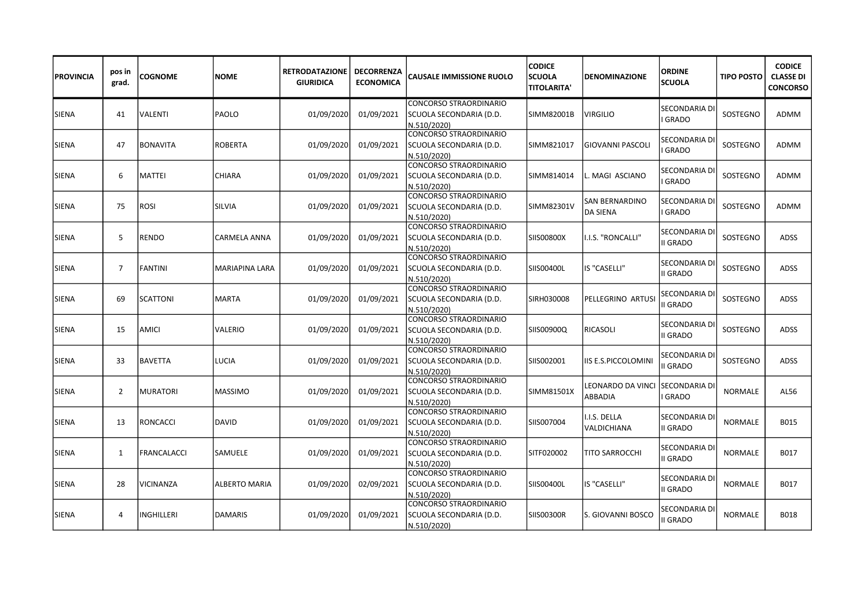| <b>PROVINCIA</b> | pos in<br>grad. | <b>COGNOME</b>   | <b>NOME</b>           | <b>RETRODATAZIONE</b><br><b>GIURIDICA</b> | <b>DECORRENZA</b><br><b>ECONOMICA</b> | <b>CAUSALE IMMISSIONE RUOLO</b>                                         | <b>CODICE</b><br><b>SCUOLA</b><br><b>TITOLARITA'</b> | <b>DENOMINAZIONE</b>         | <b>ORDINE</b><br><b>SCUOLA</b>   | <b>TIPO POSTO</b> | <b>CODICE</b><br><b>CLASSE DI</b><br><b>CONCORSO</b> |
|------------------|-----------------|------------------|-----------------------|-------------------------------------------|---------------------------------------|-------------------------------------------------------------------------|------------------------------------------------------|------------------------------|----------------------------------|-------------------|------------------------------------------------------|
| <b>SIENA</b>     | 41              | <b>VALENTI</b>   | <b>PAOLO</b>          | 01/09/2020                                | 01/09/2021                            | <b>CONCORSO STRAORDINARIO</b><br>SCUOLA SECONDARIA (D.D.<br>N.510/2020) | ISIMM82001B                                          | VIRGILIO                     | SECONDARIA DI<br><b>GRADO</b>    | SOSTEGNO          | ADMM                                                 |
| <b>SIENA</b>     | 47              | <b>BONAVITA</b>  | <b>ROBERTA</b>        | 01/09/2020                                | 01/09/2021                            | CONCORSO STRAORDINARIO<br>SCUOLA SECONDARIA (D.D.<br>N.510/2020)        | SIMM821017                                           | GIOVANNI PASCOLI             | SECONDARIA D<br><b>GRADO</b>     | SOSTEGNO          | ADMM                                                 |
| <b>SIENA</b>     | 6               | <b>MATTEI</b>    | <b>CHIARA</b>         | 01/09/2020                                | 01/09/2021                            | CONCORSO STRAORDINARIO<br>SCUOLA SECONDARIA (D.D.<br>N.510/2020)        | SIMM814014                                           | MAGI ASCIANO                 | SECONDARIA DI<br><b>GRADO</b>    | SOSTEGNO          | ADMM                                                 |
| <b>SIENA</b>     | 75              | <b>ROSI</b>      | <b>SILVIA</b>         | 01/09/2020                                | 01/09/2021                            | CONCORSO STRAORDINARIO<br>SCUOLA SECONDARIA (D.D.<br>N.510/2020)        | SIMM82301V                                           | SAN BERNARDINO<br>DA SIENA   | SECONDARIA D<br>GRADO            | SOSTEGNO          | ADMM                                                 |
| <b>SIENA</b>     | 5               | <b>RENDO</b>     | CARMELA ANNA          | 01/09/2020                                | 01/09/2021                            | CONCORSO STRAORDINARIO<br>SCUOLA SECONDARIA (D.D.<br>N.510/2020)        | SIIS00800X                                           | I.I.S. "RONCALLI"            | SECONDARIA DI<br>II GRADO        | SOSTEGNO          | ADSS                                                 |
| <b>SIENA</b>     | $\overline{7}$  | <b>FANTINI</b>   | <b>MARIAPINA LARA</b> | 01/09/2020                                | 01/09/2021                            | CONCORSO STRAORDINARIO<br>SCUOLA SECONDARIA (D.D.<br>N.510/2020)        | SIIS00400L                                           | IS "CASELLI"                 | SECONDARIA DI<br>II GRADO        | SOSTEGNO          | <b>ADSS</b>                                          |
| <b>SIENA</b>     | 69              | <b>SCATTONI</b>  | <b>MARTA</b>          | 01/09/2020                                | 01/09/2021                            | <b>CONCORSO STRAORDINARIO</b><br>SCUOLA SECONDARIA (D.D.<br>N.510/2020) | SIRH030008                                           | PELLEGRINO ARTUS             | SECONDARIA DI<br>II GRADO        | SOSTEGNO          | <b>ADSS</b>                                          |
| <b>SIENA</b>     | 15              | <b>AMICI</b>     | <b>VALERIO</b>        | 01/09/2020                                | 01/09/2021                            | CONCORSO STRAORDINARIO<br>SCUOLA SECONDARIA (D.D.<br>N.510/2020)        | SIIS00900Q                                           | RICASOLI                     | SECONDARIA DI<br><b>II GRADO</b> | SOSTEGNO          | <b>ADSS</b>                                          |
| <b>SIENA</b>     | 33              | <b>BAVETTA</b>   | LUCIA                 | 01/09/2020                                | 01/09/2021                            | CONCORSO STRAORDINARIO<br>SCUOLA SECONDARIA (D.D.<br>N.510/2020)        | SIIS002001                                           | IIS E.S.PICCOLOMINI          | SECONDARIA DI<br>I GRADO         | SOSTEGNO          | ADSS                                                 |
| <b>SIENA</b>     | $\overline{2}$  | <b>MURATORI</b>  | <b>MASSIMO</b>        | 01/09/2020                                | 01/09/2021                            | CONCORSO STRAORDINARIO<br>SCUOLA SECONDARIA (D.D.<br>N.510/2020)        | SIMM81501X                                           | LEONARDO DA VINCI<br>ABBADIA | SECONDARIA DI<br><b>GRADO</b>    | <b>NORMALE</b>    | AL56                                                 |
| <b>SIENA</b>     | 13              | <b>RONCACCI</b>  | <b>DAVID</b>          | 01/09/2020                                | 01/09/2021                            | CONCORSO STRAORDINARIO<br>SCUOLA SECONDARIA (D.D.<br>N.510/2020)        | SIIS007004                                           | .I.S. DELLA<br>VALDICHIANA   | SECONDARIA DI<br>II GRADO        | <b>NORMALE</b>    | B015                                                 |
| <b>SIENA</b>     | 1               | FRANCALACCI      | SAMUELE               | 01/09/2020                                | 01/09/2021                            | CONCORSO STRAORDINARIO<br>SCUOLA SECONDARIA (D.D.<br>N.510/2020)        | SITF020002                                           | TITO SARROCCHI               | SECONDARIA D<br>II GRADO         | <b>NORMALE</b>    | B017                                                 |
| <b>SIENA</b>     | 28              | <b>VICINANZA</b> | ALBERTO MARIA         | 01/09/2020                                | 02/09/2021                            | CONCORSO STRAORDINARIO<br>SCUOLA SECONDARIA (D.D.<br>N.510/2020)        | SIIS00400L                                           | IS "CASELLI"                 | SECONDARIA DI<br>II GRADO        | <b>NORMALE</b>    | B017                                                 |
| <b>SIENA</b>     | 4               | INGHILLERI       | <b>DAMARIS</b>        | 01/09/2020                                | 01/09/2021                            | CONCORSO STRAORDINARIO<br>SCUOLA SECONDARIA (D.D.<br>N.510/2020)        | SIIS00300R                                           | S. GIOVANNI BOSCO            | SECONDARIA DI<br>II GRADO        | <b>NORMALE</b>    | B018                                                 |